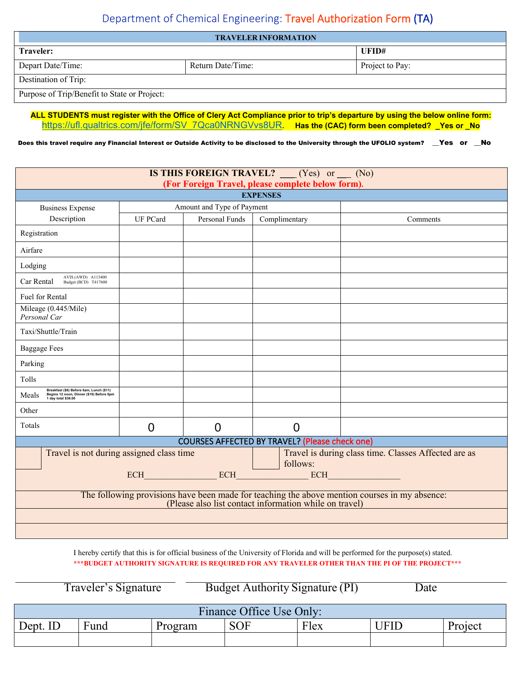## Department of Chemical Engineering: Travel Authorization Form (TA)

| <b>TRAVELER INFORMATION</b>                  |                   |                 |  |  |
|----------------------------------------------|-------------------|-----------------|--|--|
| Traveler:                                    |                   | UFID#           |  |  |
| Depart Date/Time:                            | Return Date/Time: | Project to Pay: |  |  |
| Destination of Trip:                         |                   |                 |  |  |
| Purpose of Trip/Benefit to State or Project: |                   |                 |  |  |

**ALL STUDENTS must register with the Office of Clery Act Compliance prior to trip's departure by using the below online form:** [https://ufl.qualtrics.com/jfe/form/SV\\_7Qca0NRNGVvs8UR.](https://ufl.qualtrics.com/jfe/form/SV_7Qca0NRNGVvs8UR) Has the (CAC) form been completed? \_Yes or \_No

Does this travel require any Financial Interest or Outside Activity to be disclosed to the University through the UFOLIO system? \_\_Yes or \_\_No

| <b>IS THIS FOREIGN TRAVEL?</b> $\qquad$ (Yes) or $\qquad$ (No)                                                                                          |                            |                                                                  |                                     |          |  |
|---------------------------------------------------------------------------------------------------------------------------------------------------------|----------------------------|------------------------------------------------------------------|-------------------------------------|----------|--|
| (For Foreign Travel, please complete below form).<br><b>EXPENSES</b>                                                                                    |                            |                                                                  |                                     |          |  |
| <b>Business Expense</b>                                                                                                                                 | Amount and Type of Payment |                                                                  |                                     |          |  |
| Description                                                                                                                                             | <b>UF PCard</b>            | Personal Funds                                                   | Complimentary                       | Comments |  |
| Registration                                                                                                                                            |                            |                                                                  |                                     |          |  |
| Airfare                                                                                                                                                 |                            |                                                                  |                                     |          |  |
| Lodging                                                                                                                                                 |                            |                                                                  |                                     |          |  |
| AVIS (AWD) A113400<br>Car Rental<br>Budget (BCD) T417600                                                                                                |                            |                                                                  |                                     |          |  |
| Fuel for Rental                                                                                                                                         |                            |                                                                  |                                     |          |  |
| Mileage (0.445/Mile)<br>Personal Car                                                                                                                    |                            |                                                                  |                                     |          |  |
| Taxi/Shuttle/Train                                                                                                                                      |                            |                                                                  |                                     |          |  |
| <b>Baggage Fees</b>                                                                                                                                     |                            |                                                                  |                                     |          |  |
| Parking                                                                                                                                                 |                            |                                                                  |                                     |          |  |
| Tolls                                                                                                                                                   |                            |                                                                  |                                     |          |  |
| Breakfast (\$6) Before 6am, Lunch (\$11)<br>Meals<br>Begins 12 noon, Dinner (\$19) Before 6pm<br>1 day total \$36.00                                    |                            |                                                                  |                                     |          |  |
| Other                                                                                                                                                   |                            |                                                                  |                                     |          |  |
| Totals                                                                                                                                                  | $\overline{0}$             | $\overline{0}$                                                   | $\overline{0}$                      |          |  |
| <b>COURSES AFFECTED BY TRAVEL? (Please check one)</b>                                                                                                   |                            |                                                                  |                                     |          |  |
| Travel is not during assigned class time                                                                                                                |                            | Travel is during class time. Classes Affected are as<br>follows: |                                     |          |  |
|                                                                                                                                                         |                            |                                                                  | $ECH$ $ECH$ $ECH$ $ECH$ $ECH$ $ECH$ |          |  |
| The following provisions have been made for teaching the above mention courses in my absence:<br>(Please also list contact information while on travel) |                            |                                                                  |                                     |          |  |
|                                                                                                                                                         |                            |                                                                  |                                     |          |  |
|                                                                                                                                                         |                            |                                                                  |                                     |          |  |

I hereby certify that this is for official business of the University of Florida and will be performed for the purpose(s) stated. **\*\*\*BUDGET AUTHORITY SIGNATURE IS REQUIRED FOR ANY TRAVELER OTHER THAN THE PI OF THE PROJECT\*\*\***

Traveler's Signature Budget Authority Signature (PI) Date

| Finance Office Use Only: |           |         |            |      |      |         |
|--------------------------|-----------|---------|------------|------|------|---------|
| Dept. ID                 | Ē<br>Fund | Program | <b>SOF</b> | Flex | UFID | Project |
|                          |           |         |            |      |      |         |